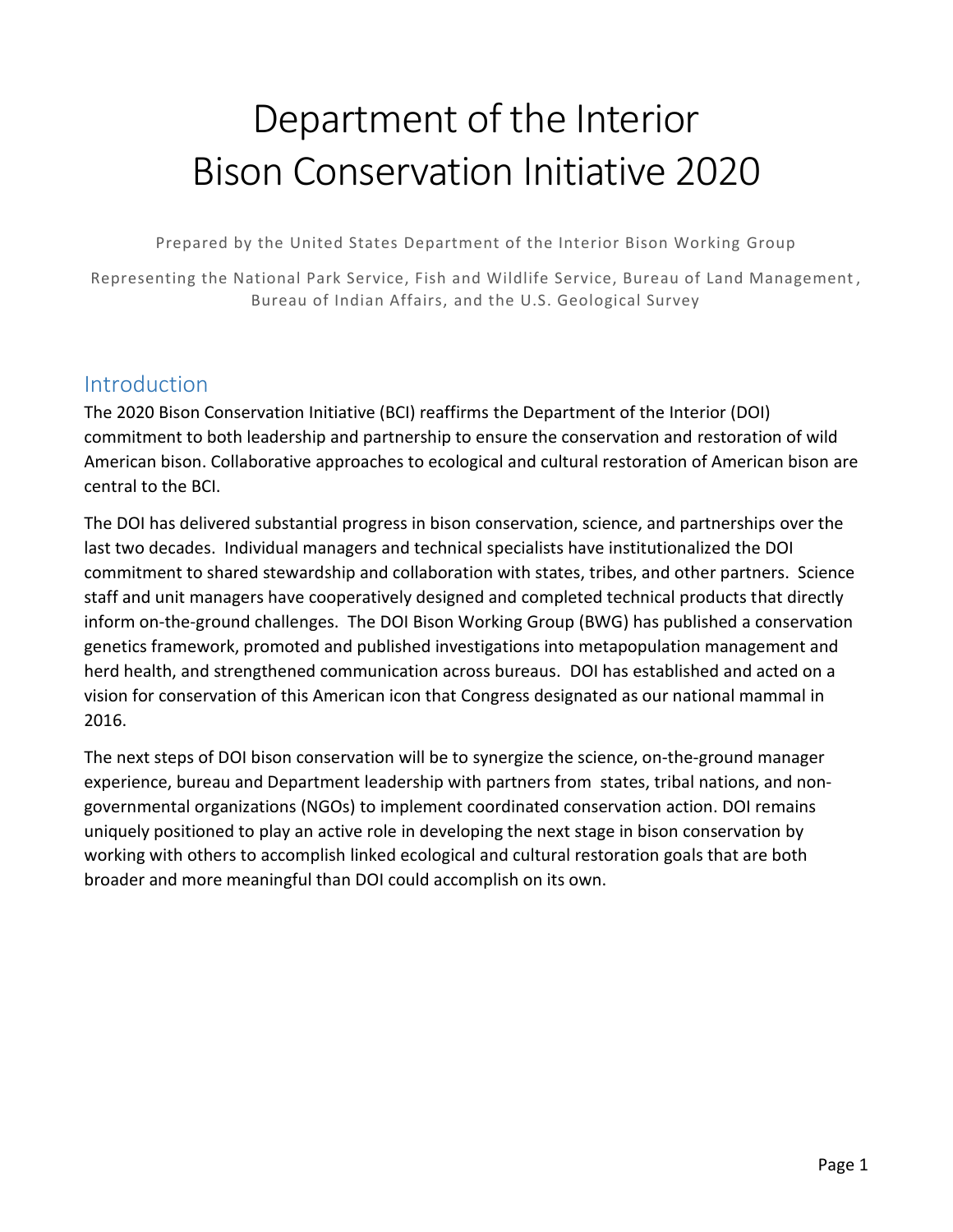# Department of the Interior Bison Conservation Initiative 2020

Prepared by the United States Department of the Interior Bison Working Group

Representing the National Park Service, Fish and Wildlife Service, Bureau of Land Management , Bureau of Indian Affairs, and the U.S. Geological Survey

# Introduction

The 2020 Bison Conservation Initiative (BCI) reaffirms the Department of the Interior (DOI) commitment to both leadership and partnership to ensure the conservation and restoration of wild American bison. Collaborative approaches to ecological and cultural restoration of American bison are central to the BCI.

The DOI has delivered substantial progress in bison conservation, science, and partnerships over the last two decades. Individual managers and technical specialists have institutionalized the DOI commitment to shared stewardship and collaboration with states, tribes, and other partners. Science staff and unit managers have cooperatively designed and completed technical products that directly inform on-the-ground challenges. The DOI Bison Working Group (BWG) has published a conservation genetics framework, promoted and published investigations into metapopulation management and herd health, and strengthened communication across bureaus. DOI has established and acted on a vision for conservation of this American icon that Congress designated as our national mammal in 2016.

The next steps of DOI bison conservation will be to synergize the science, on-the-ground manager experience, bureau and Department leadership with partners from states, tribal nations, and nongovernmental organizations (NGOs) to implement coordinated conservation action. DOI remains uniquely positioned to play an active role in developing the next stage in bison conservation by working with others to accomplish linked ecological and cultural restoration goals that are both broader and more meaningful than DOI could accomplish on its own.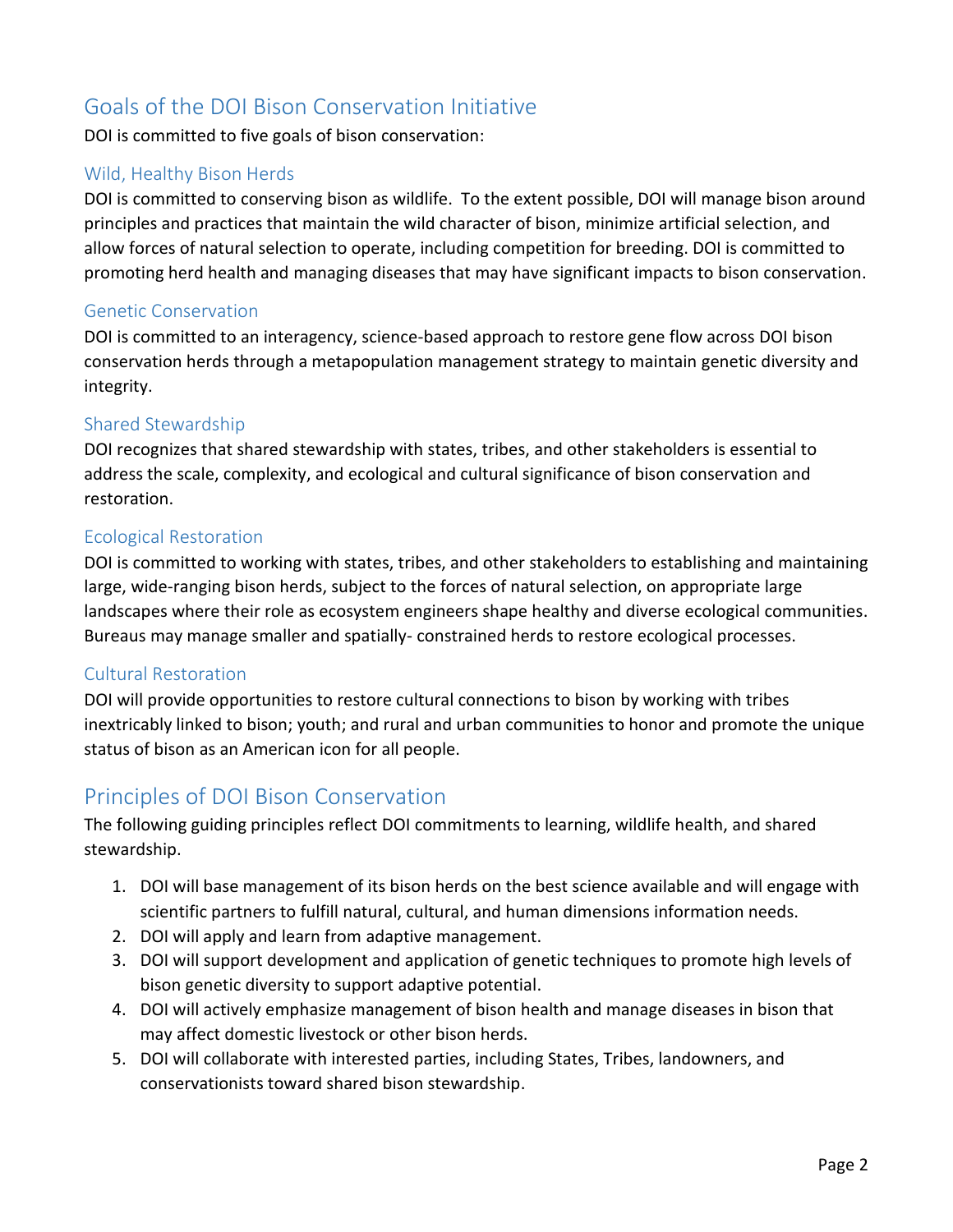# Goals of the DOI Bison Conservation Initiative

DOI is committed to five goals of bison conservation:

### Wild, Healthy Bison Herds

DOI is committed to conserving bison as wildlife. To the extent possible, DOI will manage bison around principles and practices that maintain the wild character of bison, minimize artificial selection, and allow forces of natural selection to operate, including competition for breeding. DOI is committed to promoting herd health and managing diseases that may have significant impacts to bison conservation.

#### Genetic Conservation

DOI is committed to an interagency, science-based approach to restore gene flow across DOI bison conservation herds through a metapopulation management strategy to maintain genetic diversity and integrity.

#### Shared Stewardship

DOI recognizes that shared stewardship with states, tribes, and other stakeholders is essential to address the scale, complexity, and ecological and cultural significance of bison conservation and restoration.

#### Ecological Restoration

DOI is committed to working with states, tribes, and other stakeholders to establishing and maintaining large, wide-ranging bison herds, subject to the forces of natural selection, on appropriate large landscapes where their role as ecosystem engineers shape healthy and diverse ecological communities. Bureaus may manage smaller and spatially- constrained herds to restore ecological processes.

#### Cultural Restoration

DOI will provide opportunities to restore cultural connections to bison by working with tribes inextricably linked to bison; youth; and rural and urban communities to honor and promote the unique status of bison as an American icon for all people.

## Principles of DOI Bison Conservation

The following guiding principles reflect DOI commitments to learning, wildlife health, and shared stewardship.

- 1. DOI will base management of its bison herds on the best science available and will engage with scientific partners to fulfill natural, cultural, and human dimensions information needs.
- 2. DOI will apply and learn from adaptive management.
- 3. DOI will support development and application of genetic techniques to promote high levels of bison genetic diversity to support adaptive potential.
- 4. DOI will actively emphasize management of bison health and manage diseases in bison that may affect domestic livestock or other bison herds.
- 5. DOI will collaborate with interested parties, including States, Tribes, landowners, and conservationists toward shared bison stewardship.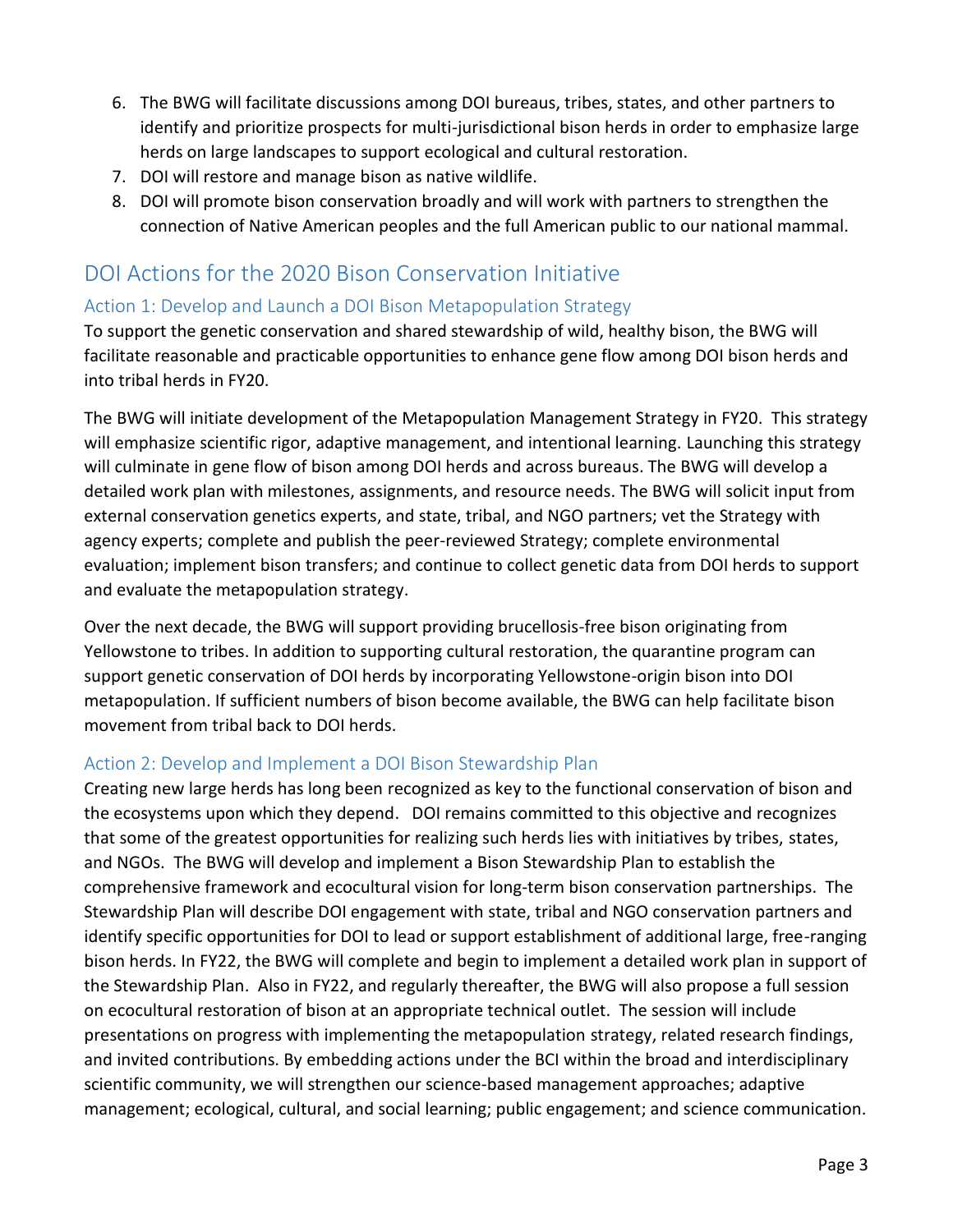- 6. The BWG will facilitate discussions among DOI bureaus, tribes, states, and other partners to identify and prioritize prospects for multi-jurisdictional bison herds in order to emphasize large herds on large landscapes to support ecological and cultural restoration.
- 7. DOI will restore and manage bison as native wildlife.
- 8. DOI will promote bison conservation broadly and will work with partners to strengthen the connection of Native American peoples and the full American public to our national mammal.

# DOI Actions for the 2020 Bison Conservation Initiative

## Action 1: Develop and Launch a DOI Bison Metapopulation Strategy

To support the genetic conservation and shared stewardship of wild, healthy bison, the BWG will facilitate reasonable and practicable opportunities to enhance gene flow among DOI bison herds and into tribal herds in FY20.

The BWG will initiate development of the Metapopulation Management Strategy in FY20. This strategy will emphasize scientific rigor, adaptive management, and intentional learning. Launching this strategy will culminate in gene flow of bison among DOI herds and across bureaus. The BWG will develop a detailed work plan with milestones, assignments, and resource needs. The BWG will solicit input from external conservation genetics experts, and state, tribal, and NGO partners; vet the Strategy with agency experts; complete and publish the peer-reviewed Strategy; complete environmental evaluation; implement bison transfers; and continue to collect genetic data from DOI herds to support and evaluate the metapopulation strategy.

Over the next decade, the BWG will support providing brucellosis-free bison originating from Yellowstone to tribes. In addition to supporting cultural restoration, the quarantine program can support genetic conservation of DOI herds by incorporating Yellowstone-origin bison into DOI metapopulation. If sufficient numbers of bison become available, the BWG can help facilitate bison movement from tribal back to DOI herds.

## Action 2: Develop and Implement a DOI Bison Stewardship Plan

Creating new large herds has long been recognized as key to the functional conservation of bison and the ecosystems upon which they depend. DOI remains committed to this objective and recognizes that some of the greatest opportunities for realizing such herds lies with initiatives by tribes, states, and NGOs. The BWG will develop and implement a Bison Stewardship Plan to establish the comprehensive framework and ecocultural vision for long-term bison conservation partnerships. The Stewardship Plan will describe DOI engagement with state, tribal and NGO conservation partners and identify specific opportunities for DOI to lead or support establishment of additional large, free-ranging bison herds. In FY22, the BWG will complete and begin to implement a detailed work plan in support of the Stewardship Plan. Also in FY22, and regularly thereafter, the BWG will also propose a full session on ecocultural restoration of bison at an appropriate technical outlet. The session will include presentations on progress with implementing the metapopulation strategy, related research findings, and invited contributions. By embedding actions under the BCI within the broad and interdisciplinary scientific community, we will strengthen our science-based management approaches; adaptive management; ecological, cultural, and social learning; public engagement; and science communication.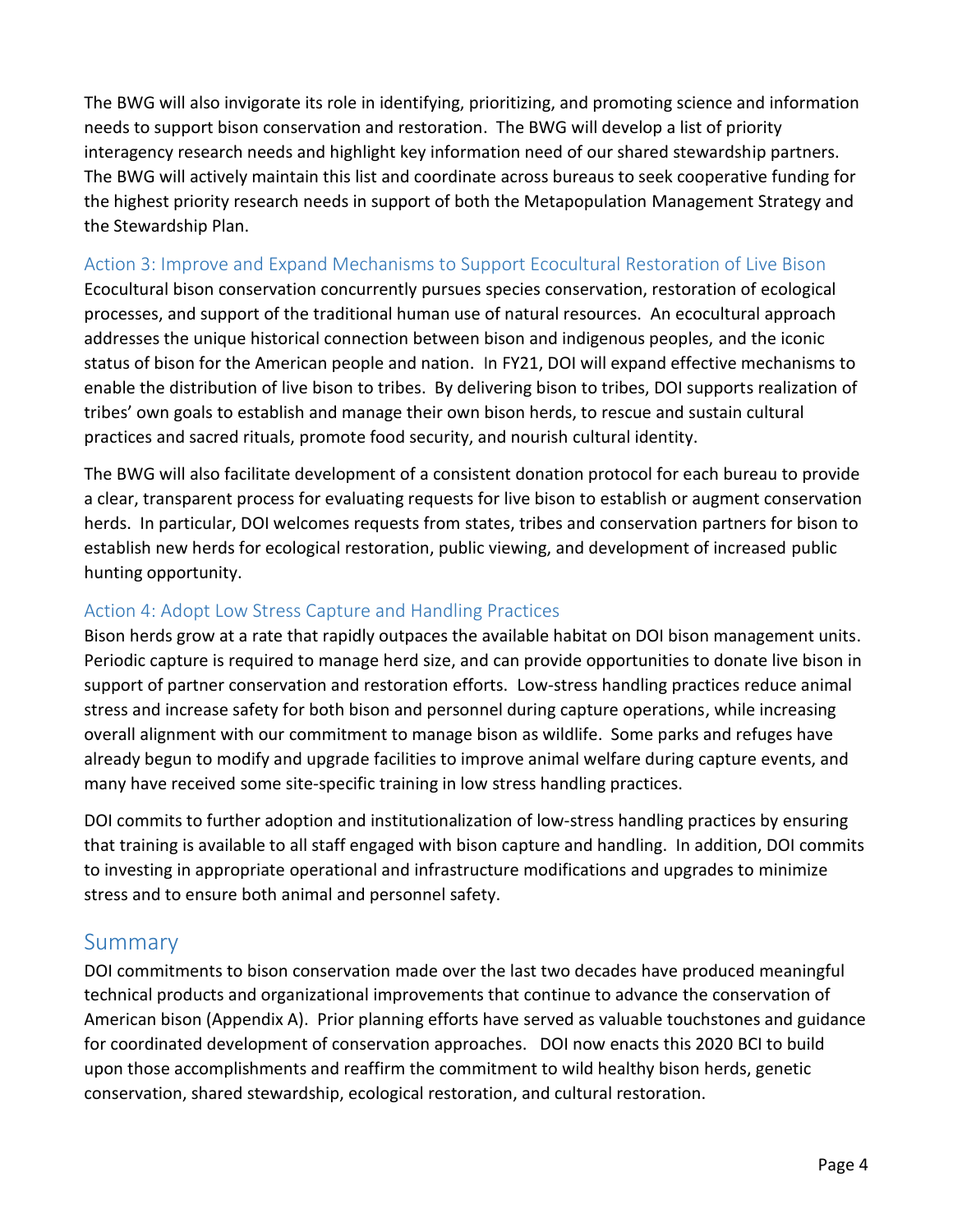The BWG will also invigorate its role in identifying, prioritizing, and promoting science and information needs to support bison conservation and restoration. The BWG will develop a list of priority interagency research needs and highlight key information need of our shared stewardship partners. The BWG will actively maintain this list and coordinate across bureaus to seek cooperative funding for the highest priority research needs in support of both the Metapopulation Management Strategy and the Stewardship Plan.

## Action 3: Improve and Expand Mechanisms to Support Ecocultural Restoration of Live Bison

Ecocultural bison conservation concurrently pursues species conservation, restoration of ecological processes, and support of the traditional human use of natural resources. An ecocultural approach addresses the unique historical connection between bison and indigenous peoples, and the iconic status of bison for the American people and nation. In FY21, DOI will expand effective mechanisms to enable the distribution of live bison to tribes. By delivering bison to tribes, DOI supports realization of tribes' own goals to establish and manage their own bison herds, to rescue and sustain cultural practices and sacred rituals, promote food security, and nourish cultural identity.

The BWG will also facilitate development of a consistent donation protocol for each bureau to provide a clear, transparent process for evaluating requests for live bison to establish or augment conservation herds. In particular, DOI welcomes requests from states, tribes and conservation partners for bison to establish new herds for ecological restoration, public viewing, and development of increased public hunting opportunity.

## Action 4: Adopt Low Stress Capture and Handling Practices

Bison herds grow at a rate that rapidly outpaces the available habitat on DOI bison management units. Periodic capture is required to manage herd size, and can provide opportunities to donate live bison in support of partner conservation and restoration efforts. Low-stress handling practices reduce animal stress and increase safety for both bison and personnel during capture operations, while increasing overall alignment with our commitment to manage bison as wildlife. Some parks and refuges have already begun to modify and upgrade facilities to improve animal welfare during capture events, and many have received some site-specific training in low stress handling practices.

DOI commits to further adoption and institutionalization of low-stress handling practices by ensuring that training is available to all staff engaged with bison capture and handling. In addition, DOI commits to investing in appropriate operational and infrastructure modifications and upgrades to minimize stress and to ensure both animal and personnel safety.

## Summary

DOI commitments to bison conservation made over the last two decades have produced meaningful technical products and organizational improvements that continue to advance the conservation of American bison (Appendix A). Prior planning efforts have served as valuable touchstones and guidance for coordinated development of conservation approaches. DOI now enacts this 2020 BCI to build upon those accomplishments and reaffirm the commitment to wild healthy bison herds, genetic conservation, shared stewardship, ecological restoration, and cultural restoration.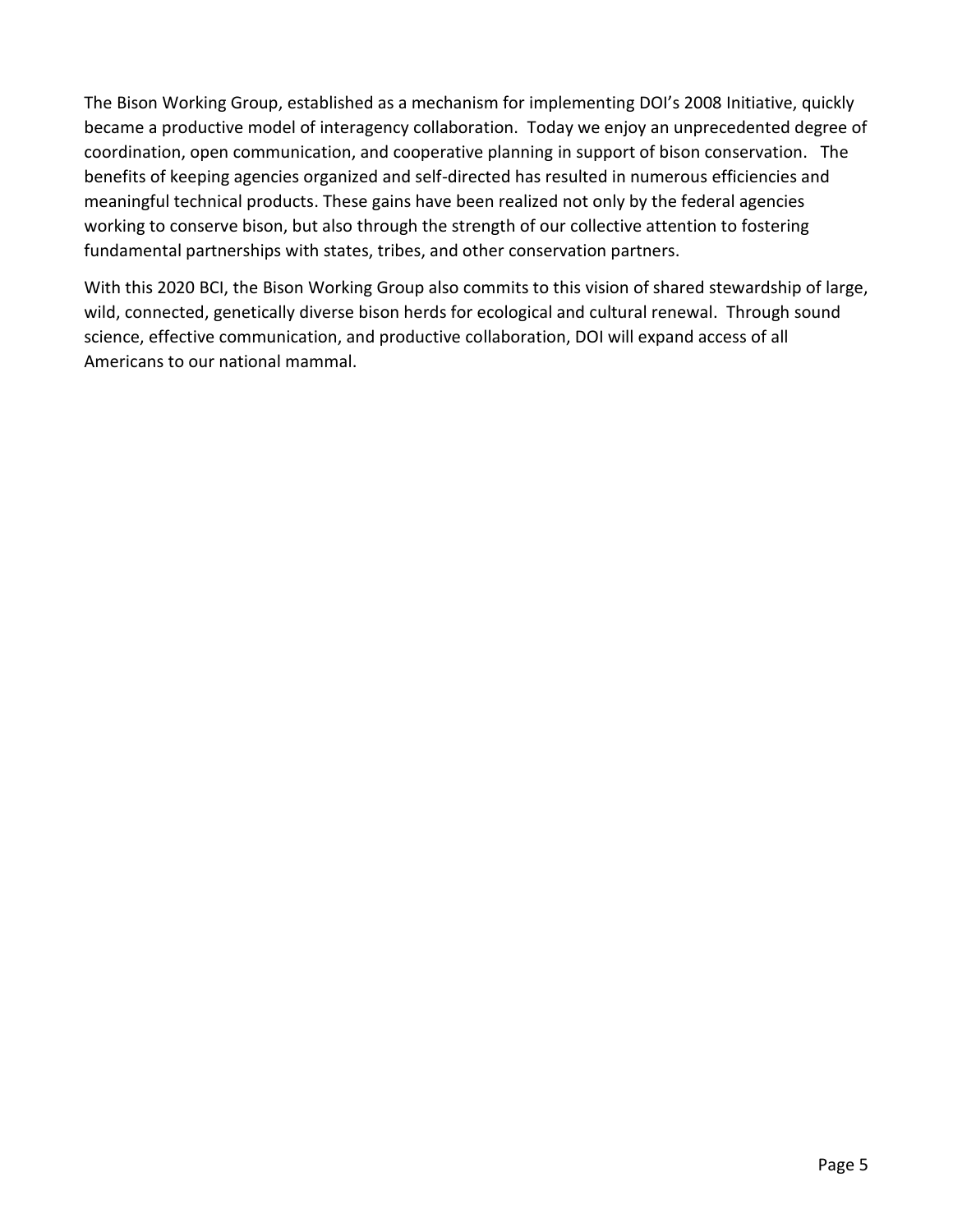The Bison Working Group, established as a mechanism for implementing DOI's 2008 Initiative, quickly became a productive model of interagency collaboration. Today we enjoy an unprecedented degree of coordination, open communication, and cooperative planning in support of bison conservation. The benefits of keeping agencies organized and self-directed has resulted in numerous efficiencies and meaningful technical products. These gains have been realized not only by the federal agencies working to conserve bison, but also through the strength of our collective attention to fostering fundamental partnerships with states, tribes, and other conservation partners.

With this 2020 BCI, the Bison Working Group also commits to this vision of shared stewardship of large, wild, connected, genetically diverse bison herds for ecological and cultural renewal. Through sound science, effective communication, and productive collaboration, DOI will expand access of all Americans to our national mammal.